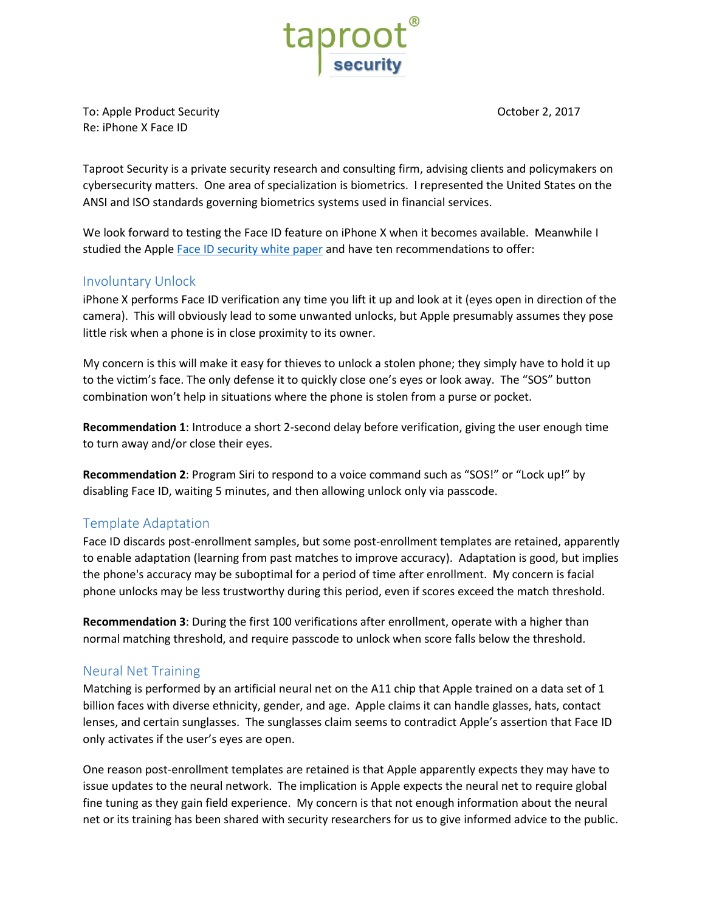

To: Apple Product Security **The Contract Security** Contract Security Apple Security **Contract Security** Contract Security **Contract Security** Contract Security Apple Security Apple Security Apple Security Apple Security Ap Re: iPhone X Face ID

Taproot Security is a private security research and consulting firm, advising clients and policymakers on cybersecurity matters. One area of specialization is biometrics. I represented the United States on the ANSI and ISO standards governing biometrics systems used in financial services.

We look forward to testing the Face ID feature on iPhone X when it becomes available. Meanwhile I studied the Apple Face ID [security white paper](https://images.apple.com/business/docs/FaceID_Security_Guide.pdf) and have ten recommendations to offer:

### Involuntary Unlock

iPhone X performs Face ID verification any time you lift it up and look at it (eyes open in direction of the camera). This will obviously lead to some unwanted unlocks, but Apple presumably assumes they pose little risk when a phone is in close proximity to its owner.

My concern is this will make it easy for thieves to unlock a stolen phone; they simply have to hold it up to the victim's face. The only defense it to quickly close one's eyes or look away. The "SOS" button combination won't help in situations where the phone is stolen from a purse or pocket.

**Recommendation 1**: Introduce a short 2-second delay before verification, giving the user enough time to turn away and/or close their eyes.

**Recommendation 2**: Program Siri to respond to a voice command such as "SOS!" or "Lock up!" by disabling Face ID, waiting 5 minutes, and then allowing unlock only via passcode.

# Template Adaptation

Face ID discards post-enrollment samples, but some post-enrollment templates are retained, apparently to enable adaptation (learning from past matches to improve accuracy). Adaptation is good, but implies the phone's accuracy may be suboptimal for a period of time after enrollment. My concern is facial phone unlocks may be less trustworthy during this period, even if scores exceed the match threshold.

**Recommendation 3**: During the first 100 verifications after enrollment, operate with a higher than normal matching threshold, and require passcode to unlock when score falls below the threshold.

#### Neural Net Training

Matching is performed by an artificial neural net on the A11 chip that Apple trained on a data set of 1 billion faces with diverse ethnicity, gender, and age. Apple claims it can handle glasses, hats, contact lenses, and certain sunglasses. The sunglasses claim seems to contradict Apple's assertion that Face ID only activates if the user's eyes are open.

One reason post-enrollment templates are retained is that Apple apparently expects they may have to issue updates to the neural network. The implication is Apple expects the neural net to require global fine tuning as they gain field experience. My concern is that not enough information about the neural net or its training has been shared with security researchers for us to give informed advice to the public.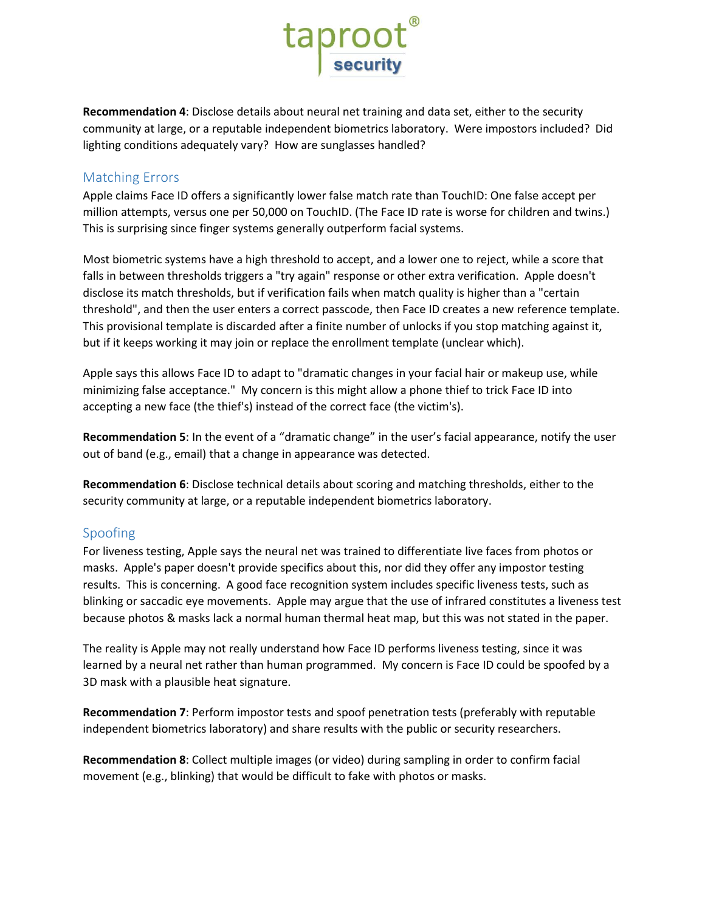

**Recommendation 4**: Disclose details about neural net training and data set, either to the security community at large, or a reputable independent biometrics laboratory. Were impostors included? Did lighting conditions adequately vary? How are sunglasses handled?

### Matching Errors

Apple claims Face ID offers a significantly lower false match rate than TouchID: One false accept per million attempts, versus one per 50,000 on TouchID. (The Face ID rate is worse for children and twins.) This is surprising since finger systems generally outperform facial systems.

Most biometric systems have a high threshold to accept, and a lower one to reject, while a score that falls in between thresholds triggers a "try again" response or other extra verification. Apple doesn't disclose its match thresholds, but if verification fails when match quality is higher than a "certain threshold", and then the user enters a correct passcode, then Face ID creates a new reference template. This provisional template is discarded after a finite number of unlocks if you stop matching against it, but if it keeps working it may join or replace the enrollment template (unclear which).

Apple says this allows Face ID to adapt to "dramatic changes in your facial hair or makeup use, while minimizing false acceptance." My concern is this might allow a phone thief to trick Face ID into accepting a new face (the thief's) instead of the correct face (the victim's).

**Recommendation 5**: In the event of a "dramatic change" in the user's facial appearance, notify the user out of band (e.g., email) that a change in appearance was detected.

**Recommendation 6**: Disclose technical details about scoring and matching thresholds, either to the security community at large, or a reputable independent biometrics laboratory.

# Spoofing

For liveness testing, Apple says the neural net was trained to differentiate live faces from photos or masks. Apple's paper doesn't provide specifics about this, nor did they offer any impostor testing results. This is concerning. A good face recognition system includes specific liveness tests, such as blinking or saccadic eye movements. Apple may argue that the use of infrared constitutes a liveness test because photos & masks lack a normal human thermal heat map, but this was not stated in the paper.

The reality is Apple may not really understand how Face ID performs liveness testing, since it was learned by a neural net rather than human programmed. My concern is Face ID could be spoofed by a 3D mask with a plausible heat signature.

**Recommendation 7**: Perform impostor tests and spoof penetration tests (preferably with reputable independent biometrics laboratory) and share results with the public or security researchers.

**Recommendation 8**: Collect multiple images (or video) during sampling in order to confirm facial movement (e.g., blinking) that would be difficult to fake with photos or masks.